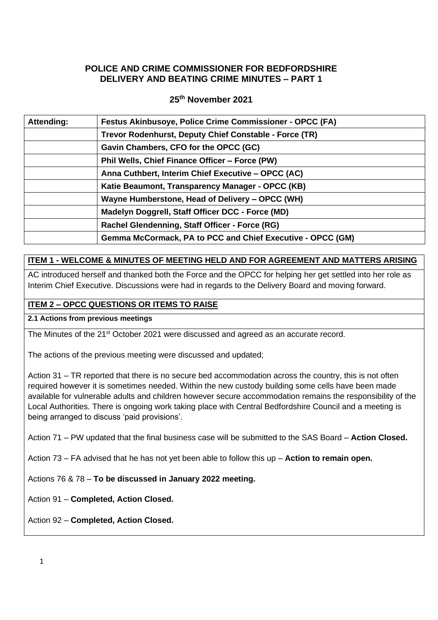### **POLICE AND CRIME COMMISSIONER FOR BEDFORDSHIRE DELIVERY AND BEATING CRIME MINUTES – PART 1**

### **25th November 2021**

| Attending: | <b>Festus Akinbusoye, Police Crime Commissioner - OPCC (FA)</b> |
|------------|-----------------------------------------------------------------|
|            | Trevor Rodenhurst, Deputy Chief Constable - Force (TR)          |
|            | Gavin Chambers, CFO for the OPCC (GC)                           |
|            | Phil Wells, Chief Finance Officer - Force (PW)                  |
|            | Anna Cuthbert, Interim Chief Executive - OPCC (AC)              |
|            | Katie Beaumont, Transparency Manager - OPCC (KB)                |
|            | Wayne Humberstone, Head of Delivery – OPCC (WH)                 |
|            | Madelyn Doggrell, Staff Officer DCC - Force (MD)                |
|            | Rachel Glendenning, Staff Officer - Force (RG)                  |
|            | Gemma McCormack, PA to PCC and Chief Executive - OPCC (GM)      |
|            |                                                                 |

# **ITEM 1 - WELCOME & MINUTES OF MEETING HELD AND FOR AGREEMENT AND MATTERS ARISING**

AC introduced herself and thanked both the Force and the OPCC for helping her get settled into her role as Interim Chief Executive. Discussions were had in regards to the Delivery Board and moving forward.

### **ITEM 2 – OPCC QUESTIONS OR ITEMS TO RAISE**

#### **2.1 Actions from previous meetings**

The Minutes of the 21<sup>st</sup> October 2021 were discussed and agreed as an accurate record.

The actions of the previous meeting were discussed and updated;

Action 31 – TR reported that there is no secure bed accommodation across the country, this is not often required however it is sometimes needed. Within the new custody building some cells have been made available for vulnerable adults and children however secure accommodation remains the responsibility of the Local Authorities. There is ongoing work taking place with Central Bedfordshire Council and a meeting is being arranged to discuss 'paid provisions'.

Action 71 – PW updated that the final business case will be submitted to the SAS Board – **Action Closed.**

Action 73 – FA advised that he has not yet been able to follow this up – **Action to remain open.**

Actions 76 & 78 – **To be discussed in January 2022 meeting.**

Action 91 – **Completed, Action Closed.**

Action 92 – **Completed, Action Closed.**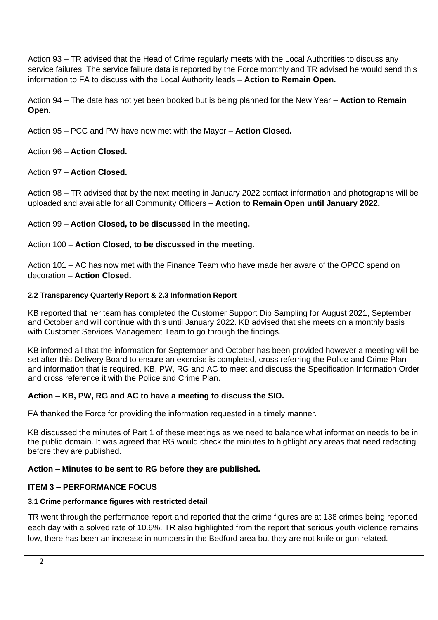Action 93 – TR advised that the Head of Crime regularly meets with the Local Authorities to discuss any service failures. The service failure data is reported by the Force monthly and TR advised he would send this information to FA to discuss with the Local Authority leads – **Action to Remain Open.**

Action 94 – The date has not yet been booked but is being planned for the New Year – **Action to Remain Open.**

Action 95 – PCC and PW have now met with the Mayor – **Action Closed.**

Action 96 – **Action Closed.**

Action 97 – **Action Closed.**

Action 98 – TR advised that by the next meeting in January 2022 contact information and photographs will be uploaded and available for all Community Officers – **Action to Remain Open until January 2022.**

Action 99 – **Action Closed, to be discussed in the meeting.**

Action 100 – **Action Closed, to be discussed in the meeting.**

Action 101 – AC has now met with the Finance Team who have made her aware of the OPCC spend on decoration – **Action Closed.**

### **2.2 Transparency Quarterly Report & 2.3 Information Report**

KB reported that her team has completed the Customer Support Dip Sampling for August 2021, September and October and will continue with this until January 2022. KB advised that she meets on a monthly basis with Customer Services Management Team to go through the findings.

KB informed all that the information for September and October has been provided however a meeting will be set after this Delivery Board to ensure an exercise is completed, cross referring the Police and Crime Plan and information that is required. KB, PW, RG and AC to meet and discuss the Specification Information Order and cross reference it with the Police and Crime Plan.

## **Action – KB, PW, RG and AC to have a meeting to discuss the SIO.**

FA thanked the Force for providing the information requested in a timely manner.

KB discussed the minutes of Part 1 of these meetings as we need to balance what information needs to be in the public domain. It was agreed that RG would check the minutes to highlight any areas that need redacting before they are published.

## **Action – Minutes to be sent to RG before they are published.**

## **ITEM 3 – PERFORMANCE FOCUS**

## **3.1 Crime performance figures with restricted detail**

TR went through the performance report and reported that the crime figures are at 138 crimes being reported each day with a solved rate of 10.6%. TR also highlighted from the report that serious youth violence remains low, there has been an increase in numbers in the Bedford area but they are not knife or gun related.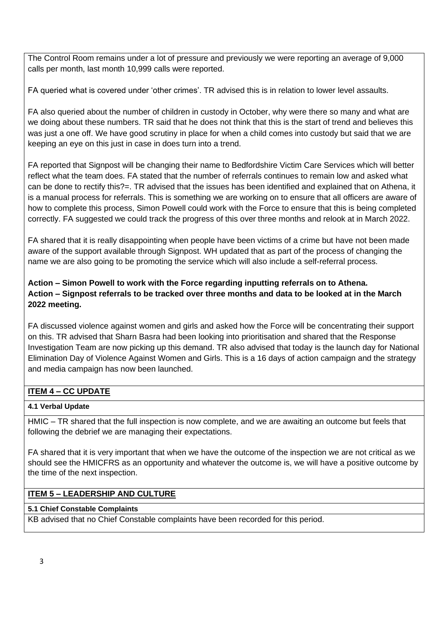The Control Room remains under a lot of pressure and previously we were reporting an average of 9,000 calls per month, last month 10,999 calls were reported.

FA queried what is covered under 'other crimes'. TR advised this is in relation to lower level assaults.

FA also queried about the number of children in custody in October, why were there so many and what are we doing about these numbers. TR said that he does not think that this is the start of trend and believes this was just a one off. We have good scrutiny in place for when a child comes into custody but said that we are keeping an eye on this just in case in does turn into a trend.

FA reported that Signpost will be changing their name to Bedfordshire Victim Care Services which will better reflect what the team does. FA stated that the number of referrals continues to remain low and asked what can be done to rectify this?=. TR advised that the issues has been identified and explained that on Athena, it is a manual process for referrals. This is something we are working on to ensure that all officers are aware of how to complete this process, Simon Powell could work with the Force to ensure that this is being completed correctly. FA suggested we could track the progress of this over three months and relook at in March 2022.

FA shared that it is really disappointing when people have been victims of a crime but have not been made aware of the support available through Signpost. WH updated that as part of the process of changing the name we are also going to be promoting the service which will also include a self-referral process.

# **Action – Simon Powell to work with the Force regarding inputting referrals on to Athena. Action – Signpost referrals to be tracked over three months and data to be looked at in the March 2022 meeting.**

FA discussed violence against women and girls and asked how the Force will be concentrating their support on this. TR advised that Sharn Basra had been looking into prioritisation and shared that the Response Investigation Team are now picking up this demand. TR also advised that today is the launch day for National Elimination Day of Violence Against Women and Girls. This is a 16 days of action campaign and the strategy and media campaign has now been launched.

# **ITEM 4 – CC UPDATE**

## **4.1 Verbal Update**

HMIC – TR shared that the full inspection is now complete, and we are awaiting an outcome but feels that following the debrief we are managing their expectations.

FA shared that it is very important that when we have the outcome of the inspection we are not critical as we should see the HMICFRS as an opportunity and whatever the outcome is, we will have a positive outcome by the time of the next inspection.

## **ITEM 5 – LEADERSHIP AND CULTURE**

## **5.1 Chief Constable Complaints**

KB advised that no Chief Constable complaints have been recorded for this period.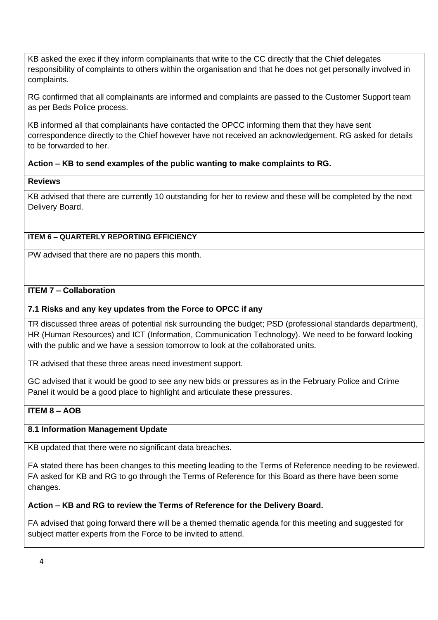KB asked the exec if they inform complainants that write to the CC directly that the Chief delegates responsibility of complaints to others within the organisation and that he does not get personally involved in complaints.

RG confirmed that all complainants are informed and complaints are passed to the Customer Support team as per Beds Police process.

KB informed all that complainants have contacted the OPCC informing them that they have sent correspondence directly to the Chief however have not received an acknowledgement. RG asked for details to be forwarded to her.

### **Action – KB to send examples of the public wanting to make complaints to RG.**

#### **Reviews**

KB advised that there are currently 10 outstanding for her to review and these will be completed by the next Delivery Board.

### **ITEM 6 – QUARTERLY REPORTING EFFICIENCY**

PW advised that there are no papers this month.

### **ITEM 7 – Collaboration**

#### **7.1 Risks and any key updates from the Force to OPCC if any**

TR discussed three areas of potential risk surrounding the budget; PSD (professional standards department), HR (Human Resources) and ICT (Information, Communication Technology). We need to be forward looking with the public and we have a session tomorrow to look at the collaborated units.

TR advised that these three areas need investment support.

GC advised that it would be good to see any new bids or pressures as in the February Police and Crime Panel it would be a good place to highlight and articulate these pressures.

# **ITEM 8 – AOB**

#### **8.1 Information Management Update**

KB updated that there were no significant data breaches.

FA stated there has been changes to this meeting leading to the Terms of Reference needing to be reviewed. FA asked for KB and RG to go through the Terms of Reference for this Board as there have been some changes.

#### **Action – KB and RG to review the Terms of Reference for the Delivery Board.**

FA advised that going forward there will be a themed thematic agenda for this meeting and suggested for subject matter experts from the Force to be invited to attend.